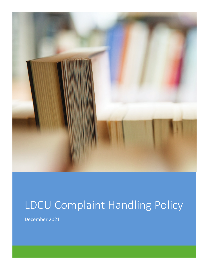

## LDCU Complaint Handling Policy

December 2021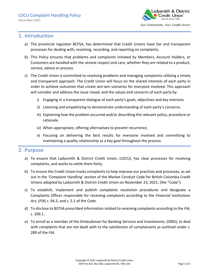

## 1. Introduction

- a) The provincial regulator BCFSA, has determined that Credit Unions have fair and transparent processes for dealing with, resolving, recording, and reporting on complaints.
- b) This Policy ensures that problems and complaints initiated by Members, Account Holders, or Customers are handled with the utmost respect and care, whether they are related to a product, service, advice or process.
- c) The Credit Union is committed to resolving problems and managing complaints utilizing a timely and transparent approach. The Credit Union will focus on the shared interests of each party in order to achieve outcomes that create win-win scenarios for everyone involved. This approach will consider and address the issue raised, and the values and concerns of each party by:
	- i) Engaging in a transparent dialogue of each party's goals, objectives and key interests.
	- ii) Listening and empathizing to demonstrate understanding of each party's concerns.
	- iii) Explaining how the problem occurred and/or describing the relevant policy, procedure or rationale.
	- iv) When appropriate, offering alternatives to prevent recurrence.
	- v) Focusing on delivering the best results for everyone involved and committing to maintaining a quality relationship as a key goal throughout the process.

## 2. Purpose

- a) To ensure that Ladysmith & District Credit Union, (LDCU), has clear processes for resolving complaints, and works to settle them fairly.
- b) To ensure the Credit Union tracks complaints to help improve our practices and processes, as set out in the 'Complaint Handling' section of the Market Conduct Code for British Columbia Credit Unions adopted by Ladysmith & District Credit Union on November 23, 2021, (the "Code").
- c) To establish, implement and publish complaints resolution procedures and designate a Complaints Officer responsible for receiving complaints according to the *Financial Institutions Act*, (*FIA*) s. 94.3, and s. 5.1 of the Code.
- d) To disclose to BCFSA prescribed information related to receiving complaints according to the *FIA*, s. 209.1.
- e) To enroll as a member of the Ombudsman for Banking Services and Investments, (OBSI), to deal with complaints that are not dealt with to the satisfaction of complainants as outlined under s. 289 of the *FIA*.